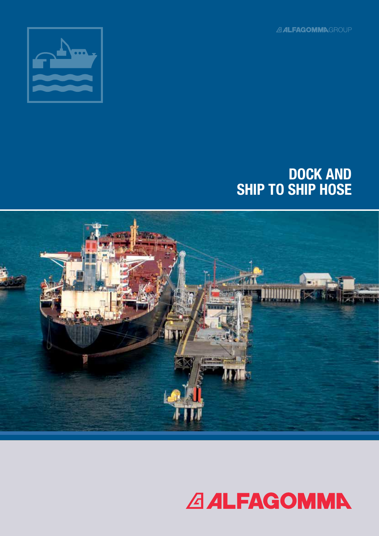**ALFAGOMMNGROUP** 



# DOCK AND SHIP TO SHIP HOSE



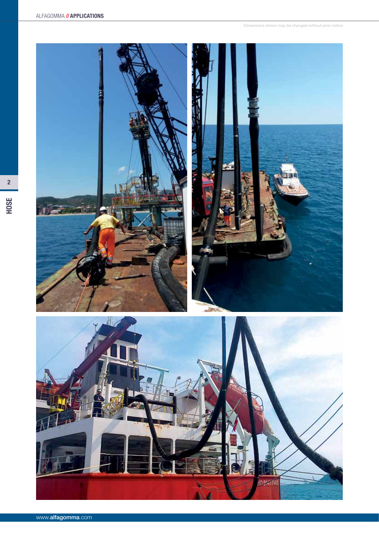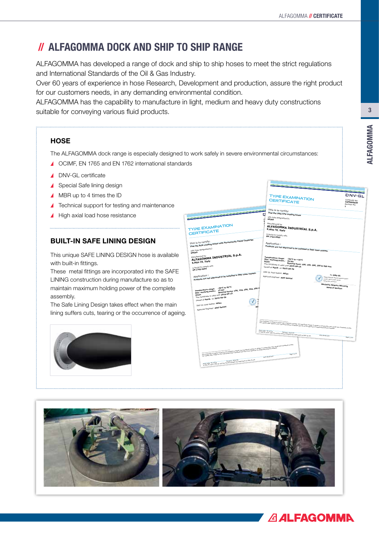## // ALFAGOMMA DOCK AND SHIP TO SHIP RANGE

ALFAGOMMA has developed a range of dock and ship to ship hoses to meet the strict regulations and International Standards of the Oil & Gas Industry.

Over 60 years of experience in hose Research, Development and production, assure the right product for our customers needs, in any demanding environmental condition.

ALFAGOMMA has the capability to manufacture in light, medium and heavy duty constructions suitable for conveying various fluid products.

### **HOSE**

The ALFAGOMMA dock range is especially designed to work safely in severe environmental circumstances:

E

- ▲ OCIMF, EN 1765 and EN 1762 international standards
- DNV-GL certificate
- ▲ Special Safe lining design
- ▲ MBR up to 4 times the ID
- ▲ Technical support for testing and maintenance
- High axial load hose resistance

### BUILT-IN SAFE LINING DESIGN

This unique SAFE LINING DESIGN hose is available with built-in fittings.

These metal fittings are incorporated into the SAFE LINING construction during manufacture so as to maintain maximum holding power of the complete assembly.

The Safe Lining Design takes effect when the main lining suffers cuts, tearing or the occurrence of ageing.



|                                                                                                                                                                                                                                      | TYPE EXAMINATION<br><b>CERTIFICATE</b>                                                                                                                                                                                                                                                                                                 | UNV.GL<br>Certificate No:                                                      |
|--------------------------------------------------------------------------------------------------------------------------------------------------------------------------------------------------------------------------------------|----------------------------------------------------------------------------------------------------------------------------------------------------------------------------------------------------------------------------------------------------------------------------------------------------------------------------------------|--------------------------------------------------------------------------------|
|                                                                                                                                                                                                                                      |                                                                                                                                                                                                                                                                                                                                        | TAP000003D<br>Revision No:<br>f,                                               |
|                                                                                                                                                                                                                                      | This is to certify:                                                                                                                                                                                                                                                                                                                    |                                                                                |
|                                                                                                                                                                                                                                      | That the LNG/LPG Loading hoses<br>ū                                                                                                                                                                                                                                                                                                    |                                                                                |
|                                                                                                                                                                                                                                      | with type designation(s)<br>c<br>60JAA                                                                                                                                                                                                                                                                                                 |                                                                                |
|                                                                                                                                                                                                                                      | Manufactured by                                                                                                                                                                                                                                                                                                                        |                                                                                |
| <b>TYPE EXAMINATION</b>                                                                                                                                                                                                              | ALFAGOMMA INDUSTRIAL S.p.A.                                                                                                                                                                                                                                                                                                            |                                                                                |
| CERTIFICATE                                                                                                                                                                                                                          | S.Atto TE, Italy                                                                                                                                                                                                                                                                                                                       |                                                                                |
|                                                                                                                                                                                                                                      | is found to comply with                                                                                                                                                                                                                                                                                                                |                                                                                |
|                                                                                                                                                                                                                                      | EN 1762:2003                                                                                                                                                                                                                                                                                                                           |                                                                                |
| That the Bulk Loading Hoses with Permanently Fitted Couplings                                                                                                                                                                        | Application:                                                                                                                                                                                                                                                                                                                           |                                                                                |
|                                                                                                                                                                                                                                      |                                                                                                                                                                                                                                                                                                                                        |                                                                                |
| with type designation(s)                                                                                                                                                                                                             | Products are not approved to be installed in DNV class vessels.                                                                                                                                                                                                                                                                        |                                                                                |
| 60GAA                                                                                                                                                                                                                                |                                                                                                                                                                                                                                                                                                                                        |                                                                                |
| ALFAGOMMA INDUSTRIAL S.p.A.                                                                                                                                                                                                          | Temperature range: 30°C to +70°C                                                                                                                                                                                                                                                                                                       |                                                                                |
| S.Atto TE, Italy                                                                                                                                                                                                                     | Max. working press.: 25 bar                                                                                                                                                                                                                                                                                                            |                                                                                |
| is found to comply with                                                                                                                                                                                                              | This Certificate is valid until 2019-09-15.                                                                                                                                                                                                                                                                                            | Nominal bore: 100, 150, 200, 250 & 300 mm                                      |
| EN 1765:2004                                                                                                                                                                                                                         | Issued at Hovik on 2015-09-29                                                                                                                                                                                                                                                                                                          |                                                                                |
| Products are not approved to be installed in DNV class vessels.                                                                                                                                                                      | DNV GL local station: Milan                                                                                                                                                                                                                                                                                                            | for DNV GL                                                                     |
|                                                                                                                                                                                                                                      | Approval Engineer: Adel Samiei                                                                                                                                                                                                                                                                                                         | Distaly Signed By: Manerig, Mislante Spanien<br>Location: DWV GL Henik, Norway |
|                                                                                                                                                                                                                                      |                                                                                                                                                                                                                                                                                                                                        | Righing Date: 29.09.2015                                                       |
| -20°C to 82°C<br>1.2 val.<br>Nominal bores: 100, 150, 200, 250, 300 m<br>Temperature range:                                                                                                                                          |                                                                                                                                                                                                                                                                                                                                        | Marianne Spæren Marveng<br><b>Head of Section</b>                              |
| Max. working press.: 15 bar<br>This Certificate is valid until 2019-09-15.<br>Issued at Hovik on 2015-09-29<br>oë<br><b>Signa</b><br>DNV GL local station: Milan<br>MS<br>Approval Engineer: Adel Samiei                             |                                                                                                                                                                                                                                                                                                                                        |                                                                                |
|                                                                                                                                                                                                                                      | This Certacate is subject to berms and constitutes overlap! Any tigotificant change in design or construction may produc this Certificate involut.<br>The vasality data relates to the Type Examination Complicate and only to th<br>Form code: TE 14718<br>© DNV GL 2014. DNV GL and the Horizon Graphic are trademarks of DWV GL AS. |                                                                                |
|                                                                                                                                                                                                                                      |                                                                                                                                                                                                                                                                                                                                        | www.dhygl.com<br>Page 1 of a                                                   |
|                                                                                                                                                                                                                                      |                                                                                                                                                                                                                                                                                                                                        |                                                                                |
| .<br>The Control in World by larra and controls exclude any supports thanks the depth or conference may make this certificate implic.<br>The vehicles are valent to as the European Controls and the U.S. One growed of equipments e |                                                                                                                                                                                                                                                                                                                                        |                                                                                |
|                                                                                                                                                                                                                                      |                                                                                                                                                                                                                                                                                                                                        |                                                                                |
|                                                                                                                                                                                                                                      | page 1 of 4                                                                                                                                                                                                                                                                                                                            |                                                                                |
|                                                                                                                                                                                                                                      | www.dnvgl.com                                                                                                                                                                                                                                                                                                                          |                                                                                |
| genations: TE 14718<br>© DRV GL 2014: DRV GL and the Horizon Graphic are beddeniaries of DRV GL Ad.                                                                                                                                  |                                                                                                                                                                                                                                                                                                                                        |                                                                                |
|                                                                                                                                                                                                                                      |                                                                                                                                                                                                                                                                                                                                        |                                                                                |
|                                                                                                                                                                                                                                      |                                                                                                                                                                                                                                                                                                                                        |                                                                                |
|                                                                                                                                                                                                                                      |                                                                                                                                                                                                                                                                                                                                        |                                                                                |
|                                                                                                                                                                                                                                      |                                                                                                                                                                                                                                                                                                                                        |                                                                                |
|                                                                                                                                                                                                                                      |                                                                                                                                                                                                                                                                                                                                        |                                                                                |
|                                                                                                                                                                                                                                      |                                                                                                                                                                                                                                                                                                                                        |                                                                                |
|                                                                                                                                                                                                                                      |                                                                                                                                                                                                                                                                                                                                        |                                                                                |



**DMV** 

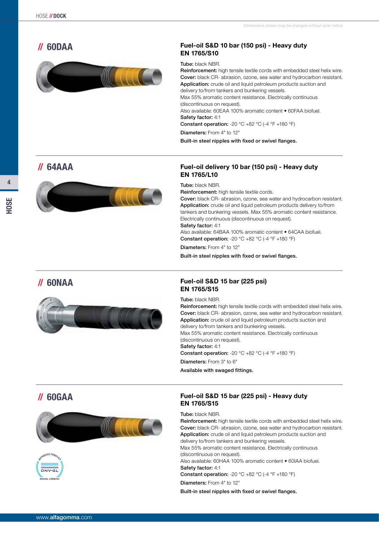

#### // 60DAA Fuel-oil S&D 10 bar (150 psi) - Heavy duty EN 1765/S10

#### Tube: black NBR.

Reinforcement: high tensile textile cords with embedded steel helix wire. Cover: black CR- abrasion, ozone, sea water and hydrocarbon resistant. Application: crude oil and liquid petroleum products suction and delivery to/from tankers and bunkering vessels. Max 55% aromatic content resistance. Electrically continuous (discontinuous on request). Also available: 60EAA 100% aromatic content • 60FAA biofuel. Safety factor: 4:1 Constant operation: -20 °C +82 °C (-4 °F +180 °F) Diameters: From 4" to 12"

#### Built-in steel nipples with fixed or swivel flanges.

## // 64AAA



#### Fuel-oil delivery 10 bar (150 psi) - Heavy duty EN 1765/L10

Tube: black NBR.

Reinforcement: high tensile textile cords.

Cover: black CR- abrasion, ozone, sea water and hydrocarbon resistant. Application: crude oil and liquid petroleum products delivery to/from tankers and bunkering vessels. Max 55% aromatic content resistance. Electrically continuous (discontinuous on request). Safety factor: 4:1

Also available: 64BAA 100% aromatic content • 64CAA biofuel. **Constant operation:** -20  $^{\circ}$ C +82  $^{\circ}$ C (-4  $^{\circ}$ F +180  $^{\circ}$ F)

Diameters: From 4" to 12"

Built-in steel nipples with fixed or swivel flanges.



#### // 60NAA Fuel-oil S&D 15 bar (225 psi) EN 1765/S15

Tube: black NBR.

Reinforcement: high tensile textile cords with embedded steel helix wire. Cover: black CR- abrasion, ozone, sea water and hydrocarbon resistant. Application: crude oil and liquid petroleum products suction and delivery to/from tankers and bunkering vessels. Max 55% aromatic content resistance. Electrically continuous (discontinuous on request). Safety factor: 4:1 **Constant operation:** -20  $^{\circ}$ C +82  $^{\circ}$ C (-4  $^{\circ}$ F +180  $^{\circ}$ F) Diameters: From 3" to 6" Available with swaged fittings.





#### // 60GAA Fuel-oil S&D 15 bar (225 psi) - Heavy duty EN 1765/S15

#### Tube: black NBR.

Reinforcement: high tensile textile cords with embedded steel helix wire. Cover: black CR- abrasion, ozone, sea water and hydrocarbon resistant. Application: crude oil and liquid petroleum products suction and delivery to/from tankers and bunkering vessels. Max 55% aromatic content resistance. Electrically continuous (discontinuous on request). Also available: 60HAA 100% aromatic content • 60IAA biofuel. Safety factor: 4:1 **Constant operation:** -20  $^{\circ}$ C +82  $^{\circ}$ C (-4  $^{\circ}$ F +180  $^{\circ}$ F) Diameters: From 4" to 12"

Built-in steel nipples with fixed or swivel flanges.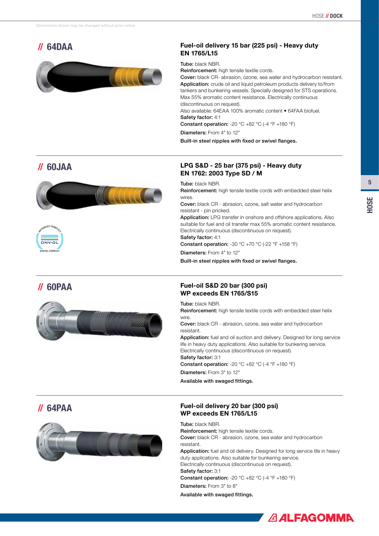

### // 64DAA Fuel-oil delivery 15 bar (225 psi) - Heavy duty EN 1765/L15

Tube: black NBR.

Reinforcement: high tensile textile cords.

Cover: black CR- abrasion, ozone, sea water and hydrocarbon resistant. Application: crude oil and liquid petroleum products delivery to/from tankers and bunkering vessels. Specially designed for STS operations. Max 55% aromatic content resistance. Electrically continuous (discontinuous on request).

Also available: 64EAA 100% aromatic content • 64FAA biofuel. Safety factor: 4:1

Constant operation: -20 °C +82 °C (-4 °F +180 °F)

Diameters: From 4" to 12"

Built-in steel nipples with fixed or swivel flanges.

## // 60JAA







#### LPG S&D - 25 bar (375 psi) - Heavy duty EN 1762: 2003 Type SD / M

Tube: black NBR.

Reinforcement: high tensile textile cords with embedded steel helix wires.

Cover: black CR - abrasion, ozone, salt water and hydrocarbon resistant - pin pricked.

Application: LPG transfer in onshore and offshore applications. Also suitable for fuel and oil transfer max 55% aromatic content resistance. Electrically continuous (discontinuous on request). Safety factor: 4:1

**Constant operation:** -30  $^{\circ}$ C +70  $^{\circ}$ C (-22  $^{\circ}$ F +158  $^{\circ}$ F)

Diameters: From 4" to 12"

Built-in steel nipples with fixed or swivel flanges.

#### // 60PAA Fuel-oil S&D 20 bar (300 psi) WP exceeds EN 1765/S15

Tube: black NBR.

Reinforcement: high tensile textile cords with embedded steel helix wire.

Cover: black CR - abrasion, ozone, sea water and hydrocarbon resistant.

Application: fuel and oil suction and delivery. Designed for long service life in heavy duty applications. Also suitable for bunkering service. Electrically continuous (discontinuous on request). Safety factor: 3:1

Constant operation: -20 °C +82 °C (-4 °F +180 °F)

Diameters: From 3" to 12"

Available with swaged fittings.



### // 64PAA Fuel-oil delivery 20 bar (300 psi) WP exceeds EN 1765/L15

Tube: black NBR. Reinforcement: high tensile textile cords. Cover: black CR - abrasion, ozone, sea water and hydrocarbon resistant. Application: fuel and oil delivery. Designed for long service life in heavy duty applications. Also suitable for bunkering service. Electrically continuous (discontinuous on request). Safety factor: 3:1 Constant operation: -20  $^{\circ}$ C +82  $^{\circ}$ C (-4  $^{\circ}$ F +180  $^{\circ}$ F) Diameters: From 3" to 8"

Available with swaged fittings.

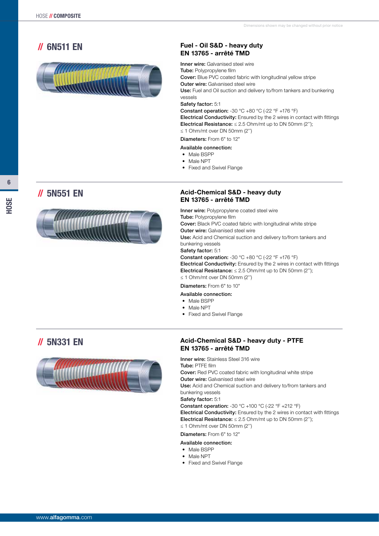## // 6N511 EN



#### Fuel - Oil S&D - heavy duty EN 13765 - arrêté TMD

**Inner wire: Galvanised steel wire** Tube: Polypropylene film Cover: Blue PVC coated fabric with longitudinal yellow stripe **Outer wire: Galvanised steel wire** Use: Fuel and Oil suction and delivery to/from tankers and bunkering vessels Safety factor: 5:1 **Constant operation:**  $-30$  °C  $+80$  °C  $(-22$  °F  $+176$  °F) Electrical Conductivity: Ensured by the 2 wires in contact with fittings Electrical Resistance:  $\leq 2.5$  Ohm/mt up to DN 50mm (2");

≤ 1 Ohm/mt over DN 50mm (2'')

#### Diameters: From 6" to 12"

- Available connection:
- Male BSPP
- Male NPT
- Fixed and Swivel Flange



#### // 5N551 EN Acid-Chemical S&D - heavy duty EN 13765 - arrêté TMD

Inner wire: Polypropylene coated steel wire Tube: Polypropylene film Cover: Black PVC coated fabric with longitudinal white stripe **Outer wire: Galvanised steel wire** Use: Acid and Chemical suction and delivery to/from tankers and bunkering vessels Safety factor: 5:1 **Constant operation:**  $-30$  °C  $+80$  °C  $(-22$  °F  $+176$  °F) Electrical Conductivity: Ensured by the 2 wires in contact with fittings Electrical Resistance:  $\leq 2.5$  Ohm/mt up to DN 50mm (2"); ≤ 1 Ohm/mt over DN 50mm (2'') Diameters: From 6" to 10"

### Available connection:

- Male BSPP
- Male NPT
- Fixed and Swivel Flange

## // 5N331 EN



#### Acid-Chemical S&D - heavy duty - PTFE EN 13765 - arrêté TMD

Inner wire: Stainless Steel 316 wire Tube: PTFE film Cover: Red PVC coated fabric with longitudinal white stripe **Outer wire: Galvanised steel wire** Use: Acid and Chemical suction and delivery to/from tankers and bunkering vessels

Safety factor: 5:1

Constant operation: -30 °C +100 °C (-22 °F +212 °F) Electrical Conductivity: Ensured by the 2 wires in contact with fittings Electrical Resistance:  $\leq 2.5$  Ohm/mt up to DN 50mm (2"); ≤ 1 Ohm/mt over DN 50mm (2'')

Diameters: From 6" to 12"

### Available connection:

- Male BSPP
- Male NPT
- Fixed and Swivel Flange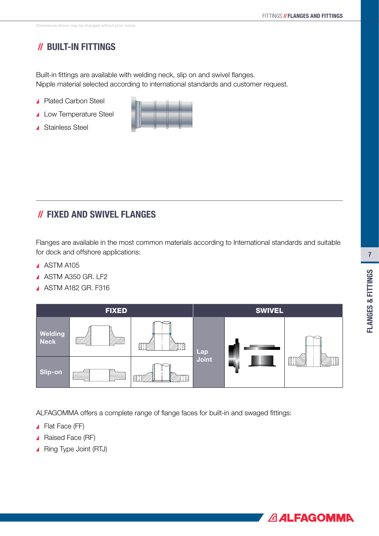## // BUILT-IN FITTINGS

Built-in fittings are available with welding neck, slip on and swivel flanges. Nipple material selected according to international standards and customer request.

- ▲ Plated Carbon Steel
- ▲ Low Temperature Steel
- ▲ Stainless Steel



## // FIXED AND SWIVEL FLANGES

Flanges are available in the most common materials according to International standards and suitable for dock and offshore applications:

- A ASTM A105
- A ASTM A350 GR. LF2
- **A ASTM A182 GR. F316**



ALFAGOMMA offers a complete range of flange faces for built-in and swaged fittings:

- ▲ Flat Face (FF)
- ▲ Raised Face (RF)
- ▲ Ring Type Joint (RTJ)

7